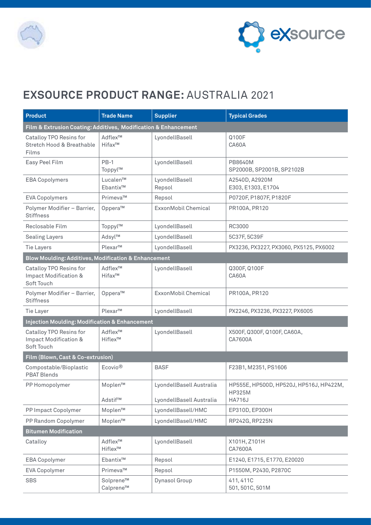



## **EXSOURCE PRODUCT RANGE:** AUSTRALIA 2021

| <b>Product</b>                                                            | <b>Trade Name</b>      | <b>Supplier</b>                                      | <b>Typical Grades</b>                                                     |  |  |  |
|---------------------------------------------------------------------------|------------------------|------------------------------------------------------|---------------------------------------------------------------------------|--|--|--|
| Film & Extrusion Coating: Additives, Modification & Enhancement           |                        |                                                      |                                                                           |  |  |  |
| Catalloy TPO Resins for<br>Stretch Hood & Breathable<br>Films             | Adflex™<br>Hifax™      | LyondellBasell                                       | Q100F<br>CA60A                                                            |  |  |  |
| Easy Peel Film                                                            | $PB-1$<br>Toppyl™      | LyondellBasell                                       | PB8640M<br>SP2000B, SP2001B, SP2102B                                      |  |  |  |
| <b>EBA Copolymers</b>                                                     | Lucalen™<br>Ebantix™   | LyondellBasell<br>Repsol                             | A2540D, A2920M<br>E303, E1303, E1704                                      |  |  |  |
| <b>EVA Copolymers</b>                                                     | Primeva™               | Repsol                                               | P0720F, P1807F, P1820F                                                    |  |  |  |
| Polymer Modifier - Barrier,<br><b>Stiffness</b>                           | Oppera™                | ExxonMobil Chemical                                  | PR100A, PR120                                                             |  |  |  |
| Reclosable Film                                                           | Toppyl™                | LyondellBasell                                       | RC3000                                                                    |  |  |  |
| <b>Sealing Layers</b>                                                     | Adsyl™                 | LyondellBasell                                       | 5C37F, 5C39F                                                              |  |  |  |
| <b>Tie Layers</b>                                                         | Plexar™                | LyondellBasell                                       | PX3236, PX3227, PX3060, PX5125, PX6002                                    |  |  |  |
| Blow Moulding: Additives, Modification & Enhancement                      |                        |                                                      |                                                                           |  |  |  |
| Catalloy TPO Resins for<br><b>Impact Modification &amp;</b><br>Soft Touch | Adflex™<br>Hifax™      | LyondellBasell                                       | Q300F, Q100F<br>CA60A                                                     |  |  |  |
| Polymer Modifier - Barrier,<br><b>Stiffness</b>                           | Oppera™                | ExxonMobil Chemical                                  | PR100A, PR120                                                             |  |  |  |
| Tie Layer                                                                 | Plexar™                | LyondellBasell                                       | PX2246, PX3236, PX3227, PX6005                                            |  |  |  |
| <b>Injection Moulding: Modification &amp; Enhancement</b>                 |                        |                                                      |                                                                           |  |  |  |
| Catalloy TPO Resins for<br>Impact Modification &<br>Soft Touch            | Adflex™<br>Hiflex™     | LyondellBasell                                       | X500F, Q300F, Q100F, CA60A,<br>CA7600A                                    |  |  |  |
| Film (Blown, Cast & Co-extrusion)                                         |                        |                                                      |                                                                           |  |  |  |
| Compostable/Bioplastic<br><b>PBAT Blends</b>                              | Ecovio <sup>®</sup>    | <b>BASF</b>                                          | F23B1, M2351, PS1606                                                      |  |  |  |
| PP Homopolymer                                                            | Moplen™<br>Adstif™     | LyondellBasell Australia<br>LyondellBasell Australia | HP555E, HP500D, HP520J, HP516J, HP422M,<br><b>HP325M</b><br><b>HA716J</b> |  |  |  |
| PP Impact Copolymer                                                       | Moplen™                | LyondellBasell/HMC                                   | EP310D, EP300H                                                            |  |  |  |
| PP Random Copolymer                                                       | Moplen™                | LyondellBasell/HMC                                   | RP242G, RP225N                                                            |  |  |  |
| <b>Bitumen Modification</b>                                               |                        |                                                      |                                                                           |  |  |  |
| Catalloy                                                                  | Adflex™<br>Hiflex™     | LyondellBasell                                       | X101H, Z101H<br>CA7600A                                                   |  |  |  |
| <b>EBA Copolymer</b>                                                      | Ebantix™               | Repsol                                               | E1240, E1715, E1770, E20020                                               |  |  |  |
| <b>EVA Copolymer</b>                                                      | Primeva™               | Repsol                                               | P1550M, P2430, P2870C                                                     |  |  |  |
| <b>SBS</b>                                                                | Solprene™<br>Calprene™ | Dynasol Group                                        | 411, 411C<br>501, 501C, 501M                                              |  |  |  |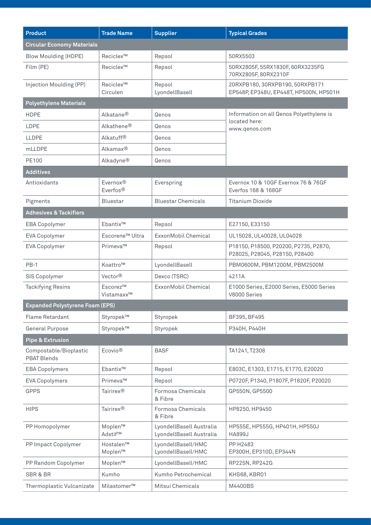| <b>Product</b>                               | <b>Trade Name</b>                 | <b>Supplier</b>                                      | <b>Typical Grades</b>                                                      |  |  |  |
|----------------------------------------------|-----------------------------------|------------------------------------------------------|----------------------------------------------------------------------------|--|--|--|
| <b>Circular Economy Materials</b>            |                                   |                                                      |                                                                            |  |  |  |
| <b>Blow Moulding (HDPE)</b>                  | Reciclex <sup>™</sup>             | Repsol                                               | 50RX5503                                                                   |  |  |  |
| Film (PE)                                    | Reciclex <sup>™</sup>             | Repsol                                               | 50RX2805F, 55RX1830F, 60RX3235FG<br>70RX2805F, 80RX2310F                   |  |  |  |
| Injection Moulding (PP)                      | Reciclex <sup>™</sup><br>Circulen | Repsol<br>LyondellBasell                             | 20RXPB180, 30RXPB190, 50RXPB171<br>EP548P, EP348U, EP448T, HP500N, HP501H  |  |  |  |
| <b>Polyethylene Materials</b>                |                                   |                                                      |                                                                            |  |  |  |
| <b>HDPE</b>                                  | Alkatane <sup>®</sup>             | Qenos                                                | Information on all Qenos Polyethylene is<br>located here:<br>www.qenos.com |  |  |  |
| LDPE                                         | Alkathene <sup>®</sup>            | Qenos                                                |                                                                            |  |  |  |
| <b>LLDPE</b>                                 | Alkatuff <sup>®</sup>             | Qenos                                                |                                                                            |  |  |  |
| mLLDPE                                       | Alkamax <sup>®</sup>              | Qenos                                                |                                                                            |  |  |  |
| PE100                                        | Alkadyne®                         | Qenos                                                |                                                                            |  |  |  |
| <b>Additives</b>                             |                                   |                                                      |                                                                            |  |  |  |
| Antioxidants                                 | Evernox®<br>Everfos <sup>®</sup>  | Everspring                                           | Evernox 10 & 10GF Evernox 76 & 76GF<br>Everfos 168 & 168GF                 |  |  |  |
| Pigments                                     | <b>Bluestar</b>                   | <b>Bluestar Chemicals</b>                            | <b>Titanium Dioxide</b>                                                    |  |  |  |
| <b>Adhesives &amp; Tackifiers</b>            |                                   |                                                      |                                                                            |  |  |  |
| <b>EBA Copolymer</b>                         | Ebantix™                          | Repsol                                               | E27150, E33150                                                             |  |  |  |
| <b>EVA Copolymer</b>                         | Escorene <sup>™</sup> Ultra       | ExxonMobil Chemical                                  | UL15028, UL40028, UL04028                                                  |  |  |  |
| <b>EVA Copolymer</b>                         | Primeva™                          | Repsol                                               | P18150, P18500, P20200, P2735, P2870,<br>P28025, P28045, P28150, P28400    |  |  |  |
| $PB-1$                                       | Koattro™                          | LyondellBasell                                       | PBM0600M, PBM1200M, PBM2500M                                               |  |  |  |
| SIS Copolymer                                | Vector <sup>®</sup>               | Dexco (TSRC)                                         | 4211A                                                                      |  |  |  |
| <b>Tackifying Resins</b>                     | Escorez™<br>Vistamaxx™            | ExxonMobil Chemical                                  | E1000 Series, E2000 Series, E5000 Series<br>V8000 Series                   |  |  |  |
| Expanded Polystyrene Foam (EPS)              |                                   |                                                      |                                                                            |  |  |  |
| Flame Retardant                              | Styropek™                         | Styropek                                             | BF395, BF495                                                               |  |  |  |
| <b>General Purpose</b>                       | Styropek™                         | Styropek                                             | P340H, P440H                                                               |  |  |  |
| Pipe & Extrusion                             |                                   |                                                      |                                                                            |  |  |  |
| Compostable/Bioplastic<br><b>PBAT Blends</b> | Ecovio <sup>®</sup>               | <b>BASF</b>                                          | TA1241, T2308                                                              |  |  |  |
| <b>EBA Copolymers</b>                        | Ebantix™                          | Repsol                                               | E803C, E1303, E1715, E1770, E20020                                         |  |  |  |
| <b>EVA Copolymers</b>                        | Primeva™                          | Repsol                                               | P0720F, P1340, P1807F, P1820F, P20020                                      |  |  |  |
| <b>GPPS</b>                                  | Tairirex <sup>®</sup>             | Formosa Chemicals<br>& Fibre                         | GP550N, GP5500                                                             |  |  |  |
| <b>HIPS</b>                                  | Tairirex <sup>®</sup>             | Formosa Chemicals<br>& Fibre                         | HP8250, HP9450                                                             |  |  |  |
| PP Homopolymer                               | Moplen™<br>Adstif™                | LyondellBasell Australia<br>LyondellBasell Australia | HP555E, HP555G, HP401H, HP550J<br><b>HA899J</b>                            |  |  |  |
| PP Impact Copolymer                          | Hostalen™<br>Moplen™              | LyondellBasell/HMC<br>LyondellBasell/HMC             | PP H2483<br>EP300H, EP310D, EP344N                                         |  |  |  |
| PP Random Copolymer                          | Moplen™                           | LyondellBasell/HMC                                   | RP225N, RP242G                                                             |  |  |  |
| SBR & BR                                     | Kumho                             | Kumho Petrochemical                                  | KHS68, KBR01                                                               |  |  |  |
| Thermoplastic Vulcanizate                    | Milastomer™                       | Mitsui Chemicals                                     | M4400BS                                                                    |  |  |  |